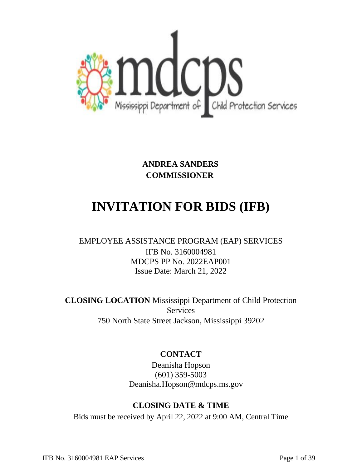

**ANDREA SANDERS COMMISSIONER** 

# **INVITATION FOR BIDS (IFB)**

# EMPLOYEE ASSISTANCE PROGRAM (EAP) SERVICES IFB No. 3160004981 MDCPS PP No. 2022EAP001 Issue Date: March 21, 2022

**CLOSING LOCATION** Mississippi Department of Child Protection **Services** 750 North State Street Jackson, Mississippi 39202

# **CONTACT**

Deanisha Hopson (601) 359-5003 Deanisha.Hopson@mdcps.ms.gov

# **CLOSING DATE & TIME**

Bids must be received by April 22, 2022 at 9:00 AM, Central Time

IFB No. 3160004981 EAP Services Page 1 of 39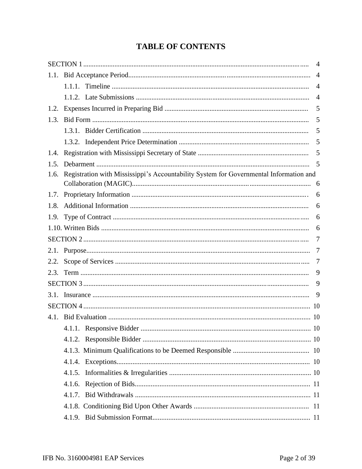# **TABLE OF CONTENTS**

|              |                                                                                        | 4              |
|--------------|----------------------------------------------------------------------------------------|----------------|
| 1.1.         |                                                                                        | $\overline{4}$ |
|              |                                                                                        | $\overline{4}$ |
|              |                                                                                        | $\overline{4}$ |
| 1.2.         |                                                                                        | 5              |
| 1.3.         |                                                                                        | 5              |
|              |                                                                                        | 5              |
|              |                                                                                        | 5              |
| 1.4.         |                                                                                        | 5              |
| 1.5.         |                                                                                        | 5              |
| 1.6.         | Registration with Mississippi's Accountability System for Governmental Information and |                |
|              |                                                                                        |                |
| 1.7.         |                                                                                        | 6              |
| 1.8.         |                                                                                        | 6              |
|              |                                                                                        | 6              |
|              |                                                                                        | 6<br>7         |
|              |                                                                                        | 7              |
| 2.1.<br>2.2. |                                                                                        | 7              |
| 2.3.         |                                                                                        | 9              |
|              |                                                                                        | 9              |
| 3.1.         |                                                                                        | 9              |
|              |                                                                                        |                |
|              |                                                                                        |                |
|              |                                                                                        |                |
|              |                                                                                        |                |
|              |                                                                                        |                |
|              |                                                                                        |                |
|              |                                                                                        |                |
|              |                                                                                        |                |
|              |                                                                                        |                |
|              |                                                                                        |                |
|              |                                                                                        |                |
|              |                                                                                        |                |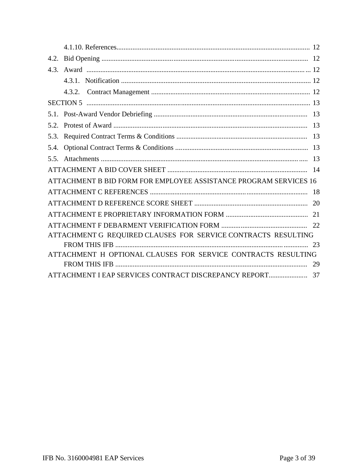| 4.3. |                                                                   |  |
|------|-------------------------------------------------------------------|--|
|      |                                                                   |  |
|      | 4.3.2.                                                            |  |
|      |                                                                   |  |
|      |                                                                   |  |
| 5.2. |                                                                   |  |
| 5.3. |                                                                   |  |
|      |                                                                   |  |
|      |                                                                   |  |
|      |                                                                   |  |
|      | ATTACHMENT B BID FORM FOR EMPLOYEE ASSISTANCE PROGRAM SERVICES 16 |  |
|      |                                                                   |  |
|      |                                                                   |  |
|      |                                                                   |  |
|      |                                                                   |  |
|      | ATTACHMENT G REQUIRED CLAUSES FOR SERVICE CONTRACTS RESULTING     |  |
|      |                                                                   |  |
|      | ATTACHMENT H OPTIONAL CLAUSES FOR SERVICE CONTRACTS RESULTING     |  |
|      |                                                                   |  |
|      |                                                                   |  |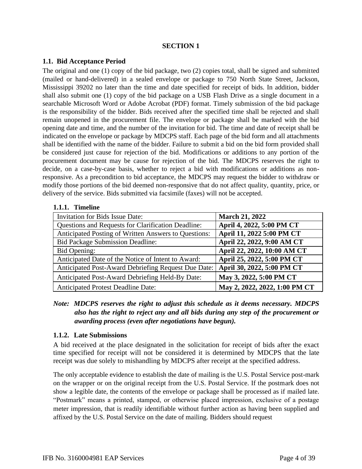#### **SECTION 1**

#### **1.1. Bid Acceptance Period**

The original and one (1) copy of the bid package, two (2) copies total, shall be signed and submitted (mailed or hand-delivered) in a sealed envelope or package to 750 North State Street, Jackson, Mississippi 39202 no later than the time and date specified for receipt of bids. In addition, bidder shall also submit one (1) copy of the bid package on a USB Flash Drive as a single document in a searchable Microsoft Word or Adobe Acrobat (PDF) format. Timely submission of the bid package is the responsibility of the bidder. Bids received after the specified time shall be rejected and shall remain unopened in the procurement file. The envelope or package shall be marked with the bid opening date and time, and the number of the invitation for bid. The time and date of receipt shall be indicated on the envelope or package by MDCPS staff. Each page of the bid form and all attachments shall be identified with the name of the bidder. Failure to submit a bid on the bid form provided shall be considered just cause for rejection of the bid. Modifications or additions to any portion of the procurement document may be cause for rejection of the bid. The MDCPS reserves the right to decide, on a case-by-case basis, whether to reject a bid with modifications or additions as nonresponsive. As a precondition to bid acceptance, the MDCPS may request the bidder to withdraw or modify those portions of the bid deemed non-responsive that do not affect quality, quantity, price, or delivery of the service. Bids submitted via facsimile (faxes) will not be accepted.

#### **1.1.1. Timeline**

| Invitation for Bids Issue Date:                           | <b>March 21, 2022</b>         |
|-----------------------------------------------------------|-------------------------------|
| <b>Questions and Requests for Clarification Deadline:</b> | April 4, 2022, 5:00 PM CT     |
| Anticipated Posting of Written Answers to Questions:      | April 11, 2022 5:00 PM CT     |
| <b>Bid Package Submission Deadline:</b>                   | April 22, 2022, 9:00 AM CT    |
| Bid Opening:                                              | April 22, 2022, 10:00 AM CT   |
| Anticipated Date of the Notice of Intent to Award:        | April 25, 2022, 5:00 PM CT    |
| Anticipated Post-Award Debriefing Request Due Date:       | April 30, 2022, 5:00 PM CT    |
| Anticipated Post-Award Debriefing Held-By Date:           | May 3, 2022, 5:00 PM CT       |
| <b>Anticipated Protest Deadline Date:</b>                 | May 2, 2022, 2022, 1:00 PM CT |

*Note: MDCPS reserves the right to adjust this schedule as it deems necessary. MDCPS also has the right to reject any and all bids during any step of the procurement or awarding process (even after negotiations have begun).*

#### **1.1.2. Late Submissions**

A bid received at the place designated in the solicitation for receipt of bids after the exact time specified for receipt will not be considered it is determined by MDCPS that the late receipt was due solely to mishandling by MDCPS after receipt at the specified address.

The only acceptable evidence to establish the date of mailing is the U.S. Postal Service post-mark on the wrapper or on the original receipt from the U.S. Postal Service. If the postmark does not show a legible date, the contents of the envelope or package shall be processed as if mailed late. "Postmark" means a printed, stamped, or otherwise placed impression, exclusive of a postage meter impression, that is readily identifiable without further action as having been supplied and affixed by the U.S. Postal Service on the date of mailing. Bidders should request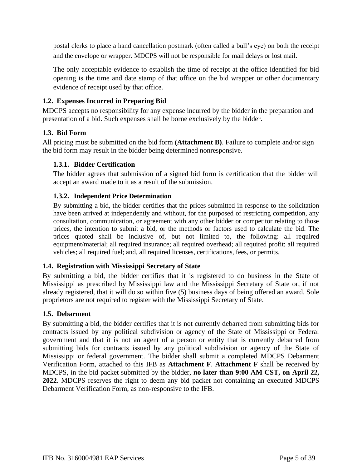postal clerks to place a hand cancellation postmark (often called a bull's eye) on both the receipt and the envelope or wrapper. MDCPS will not be responsible for mail delays or lost mail.

The only acceptable evidence to establish the time of receipt at the office identified for bid opening is the time and date stamp of that office on the bid wrapper or other documentary evidence of receipt used by that office.

# **1.2. Expenses Incurred in Preparing Bid**

MDCPS accepts no responsibility for any expense incurred by the bidder in the preparation and presentation of a bid. Such expenses shall be borne exclusively by the bidder.

### **1.3. Bid Form**

All pricing must be submitted on the bid form **(Attachment B)**. Failure to complete and/or sign the bid form may result in the bidder being determined nonresponsive.

#### **1.3.1. Bidder Certification**

The bidder agrees that submission of a signed bid form is certification that the bidder will accept an award made to it as a result of the submission.

#### **1.3.2. Independent Price Determination**

By submitting a bid, the bidder certifies that the prices submitted in response to the solicitation have been arrived at independently and without, for the purposed of restricting competition, any consultation, communication, or agreement with any other bidder or competitor relating to those prices, the intention to submit a bid, or the methods or factors used to calculate the bid. The prices quoted shall be inclusive of, but not limited to, the following: all required equipment/material; all required insurance; all required overhead; all required profit; all required vehicles; all required fuel; and, all required licenses, certifications, fees, or permits.

#### **1.4. Registration with Mississippi Secretary of State**

By submitting a bid, the bidder certifies that it is registered to do business in the State of Mississippi as prescribed by Mississippi law and the Mississippi Secretary of State or, if not already registered, that it will do so within five (5) business days of being offered an award. Sole proprietors are not required to register with the Mississippi Secretary of State.

#### **1.5. Debarment**

By submitting a bid, the bidder certifies that it is not currently debarred from submitting bids for contracts issued by any political subdivision or agency of the State of Mississippi or Federal government and that it is not an agent of a person or entity that is currently debarred from submitting bids for contracts issued by any political subdivision or agency of the State of Mississippi or federal government. The bidder shall submit a completed MDCPS Debarment Verification Form, attached to this IFB as **Attachment F**. **Attachment F** shall be received by MDCPS, in the bid packet submitted by the bidder, **no later than 9:00 AM CST, on April 22, 2022**. MDCPS reserves the right to deem any bid packet not containing an executed MDCPS Debarment Verification Form, as non-responsive to the IFB.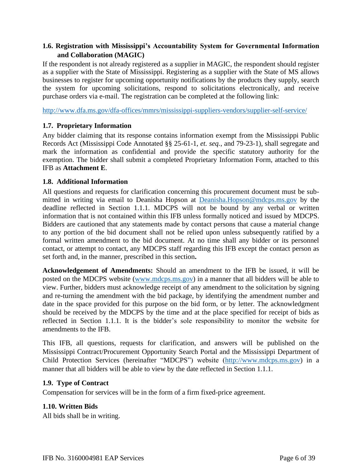#### **1.6. Registration with Mississippi's Accountability System for Governmental Information and Collaboration (MAGIC)**

If the respondent is not already registered as a supplier in MAGIC, the respondent should register as a supplier with the State of Mississippi. Registering as a supplier with the State of MS allows businesses to register for upcoming opportunity notifications by the products they supply, search the system for upcoming solicitations, respond to solicitations electronically, and receive purchase orders via e-mail. The registration can be completed at the following link:

http://www.dfa.ms.gov/dfa-offices/mmrs/mississippi-suppliers-vendors/supplier-self-service/

### **1.7. Proprietary Information**

Any bidder claiming that its response contains information exempt from the Mississippi Public Records Act (Mississippi Code Annotated §§ 25-61-1, *et. seq.*, and 79-23-1), shall segregate and mark the information as confidential and provide the specific statutory authority for the exemption. The bidder shall submit a completed Proprietary Information Form, attached to this IFB as **Attachment E**.

#### **1.8. Additional Information**

All questions and requests for clarification concerning this procurement document must be submitted in writing via email to Deanisha Hopson at Deanisha.Hopson@mdcps.ms.gov by the deadline reflected in Section 1.1.1. MDCPS will not be bound by any verbal or written information that is not contained within this IFB unless formally noticed and issued by MDCPS. Bidders are cautioned that any statements made by contact persons that cause a material change to any portion of the bid document shall not be relied upon unless subsequently ratified by a formal written amendment to the bid document. At no time shall any bidder or its personnel contact, or attempt to contact, any MDCPS staff regarding this IFB except the contact person as set forth and, in the manner, prescribed in this section**.**

**Acknowledgement of Amendments:** Should an amendment to the IFB be issued, it will be posted on the MDCPS website (www.mdcps.ms.gov) in a manner that all bidders will be able to view. Further, bidders must acknowledge receipt of any amendment to the solicitation by signing and re-turning the amendment with the bid package, by identifying the amendment number and date in the space provided for this purpose on the bid form, or by letter. The acknowledgment should be received by the MDCPS by the time and at the place specified for receipt of bids as reflected in Section 1.1.1. It is the bidder's sole responsibility to monitor the website for amendments to the IFB.

This IFB, all questions, requests for clarification, and answers will be published on the Mississippi Contract/Procurement Opportunity Search Portal and the Mississippi Department of Child Protection Services (hereinafter "MDCPS") website (http://www.mdcps.ms.gov) in a manner that all bidders will be able to view by the date reflected in Section 1.1.1.

#### **1.9. Type of Contract**

Compensation for services will be in the form of a firm fixed-price agreement.

# **1.10. Written Bids**

All bids shall be in writing.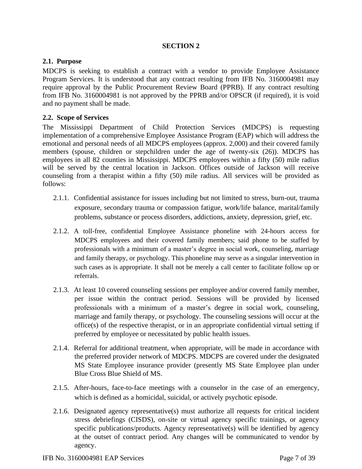#### **SECTION 2**

#### **2.1. Purpose**

MDCPS is seeking to establish a contract with a vendor to provide Employee Assistance Program Services. It is understood that any contract resulting from IFB No. 3160004981 may require approval by the Public Procurement Review Board (PPRB). If any contract resulting from IFB No. 3160004981 is not approved by the PPRB and/or OPSCR (if required), it is void and no payment shall be made.

#### **2.2. Scope of Services**

The Mississippi Department of Child Protection Services (MDCPS) is requesting implementation of a comprehensive Employee Assistance Program (EAP) which will address the emotional and personal needs of all MDCPS employees (approx. 2,000) and their covered family members (spouse, children or stepchildren under the age of twenty-six (26)). MDCPS has employees in all 82 counties in Mississippi. MDCPS employees within a fifty (50) mile radius will be served by the central location in Jackson. Offices outside of Jackson will receive counseling from a therapist within a fifty (50) mile radius. All services will be provided as follows:

- 2.1.1. Confidential assistance for issues including but not limited to stress, burn-out, trauma exposure, secondary trauma or compassion fatigue, work/life balance, marital/family problems, substance or process disorders, addictions, anxiety, depression, grief, etc.
- 2.1.2. A toll-free, confidential Employee Assistance phoneline with 24-hours access for MDCPS employees and their covered family members; said phone to be staffed by professionals with a minimum of a master's degree in social work, counseling, marriage and family therapy, or psychology. This phoneline may serve as a singular intervention in such cases as is appropriate. It shall not be merely a call center to facilitate follow up or referrals.
- 2.1.3. At least 10 covered counseling sessions per employee and/or covered family member, per issue within the contract period. Sessions will be provided by licensed professionals with a minimum of a master's degree in social work, counseling, marriage and family therapy, or psychology. The counseling sessions will occur at the office(s) of the respective therapist, or in an appropriate confidential virtual setting if preferred by employee or necessitated by public health issues.
- 2.1.4. Referral for additional treatment, when appropriate, will be made in accordance with the preferred provider network of MDCPS. MDCPS are covered under the designated MS State Employee insurance provider (presently MS State Employee plan under Blue Cross Blue Shield of MS.
- 2.1.5. After-hours, face-to-face meetings with a counselor in the case of an emergency, which is defined as a homicidal, suicidal, or actively psychotic episode.
- 2.1.6. Designated agency representative(s) must authorize all requests for critical incident stress debriefings (CISDS), on-site or virtual agency specific trainings, or agency specific publications/products. Agency representative(s) will be identified by agency at the outset of contract period. Any changes will be communicated to vendor by agency.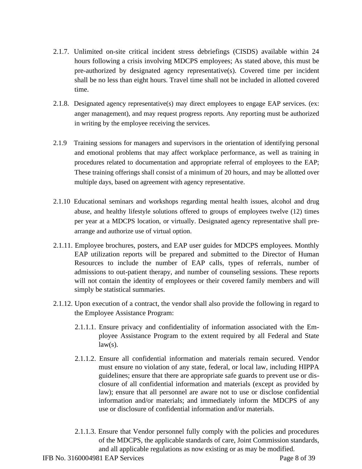- 2.1.7. Unlimited on-site critical incident stress debriefings (CISDS) available within 24 hours following a crisis involving MDCPS employees; As stated above, this must be pre-authorized by designated agency representative(s). Covered time per incident shall be no less than eight hours. Travel time shall not be included in allotted covered time.
- 2.1.8. Designated agency representative(s) may direct employees to engage EAP services. (ex: anger management), and may request progress reports. Any reporting must be authorized in writing by the employee receiving the services.
- 2.1.9 Training sessions for managers and supervisors in the orientation of identifying personal and emotional problems that may affect workplace performance, as well as training in procedures related to documentation and appropriate referral of employees to the EAP; These training offerings shall consist of a minimum of 20 hours, and may be allotted over multiple days, based on agreement with agency representative.
- 2.1.10 Educational seminars and workshops regarding mental health issues, alcohol and drug abuse, and healthy lifestyle solutions offered to groups of employees twelve (12) times per year at a MDCPS location, or virtually. Designated agency representative shall prearrange and authorize use of virtual option.
- 2.1.11. Employee brochures, posters, and EAP user guides for MDCPS employees. Monthly EAP utilization reports will be prepared and submitted to the Director of Human Resources to include the number of EAP calls, types of referrals, number of admissions to out-patient therapy, and number of counseling sessions. These reports will not contain the identity of employees or their covered family members and will simply be statistical summaries.
- 2.1.12. Upon execution of a contract, the vendor shall also provide the following in regard to the Employee Assistance Program:
	- 2.1.1.1. Ensure privacy and confidentiality of information associated with the Employee Assistance Program to the extent required by all Federal and State  $law(s)$ .
	- 2.1.1.2. Ensure all confidential information and materials remain secured. Vendor must ensure no violation of any state, federal, or local law, including HIPPA guidelines; ensure that there are appropriate safe guards to prevent use or disclosure of all confidential information and materials (except as provided by law); ensure that all personnel are aware not to use or disclose confidential information and/or materials; and immediately inform the MDCPS of any use or disclosure of confidential information and/or materials.
	- 2.1.1.3. Ensure that Vendor personnel fully comply with the policies and procedures of the MDCPS, the applicable standards of care, Joint Commission standards, and all applicable regulations as now existing or as may be modified.

IFB No. 3160004981 EAP Services Page 8 of 39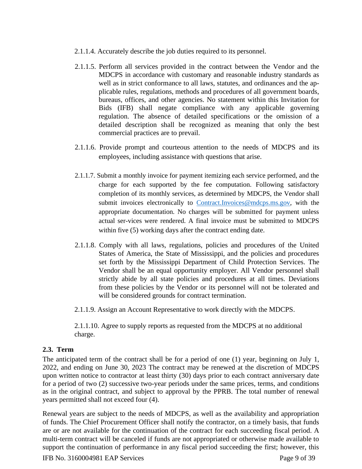- 2.1.1.4. Accurately describe the job duties required to its personnel.
- 2.1.1.5. Perform all services provided in the contract between the Vendor and the MDCPS in accordance with customary and reasonable industry standards as well as in strict conformance to all laws, statutes, and ordinances and the applicable rules, regulations, methods and procedures of all government boards, bureaus, offices, and other agencies. No statement within this Invitation for Bids (IFB) shall negate compliance with any applicable governing regulation. The absence of detailed specifications or the omission of a detailed description shall be recognized as meaning that only the best commercial practices are to prevail.
- 2.1.1.6. Provide prompt and courteous attention to the needs of MDCPS and its employees, including assistance with questions that arise.
- 2.1.1.7. Submit a monthly invoice for payment itemizing each service performed, and the charge for each supported by the fee computation. Following satisfactory completion of its monthly services, as determined by MDCPS, the Vendor shall submit invoices electronically to Contract.Invoices@mdcps.ms.gov, with the appropriate documentation. No charges will be submitted for payment unless actual ser-vices were rendered. A final invoice must be submitted to MDCPS within five (5) working days after the contract ending date.
- 2.1.1.8. Comply with all laws, regulations, policies and procedures of the United States of America, the State of Mississippi, and the policies and procedures set forth by the Mississippi Department of Child Protection Services. The Vendor shall be an equal opportunity employer. All Vendor personnel shall strictly abide by all state policies and procedures at all times. Deviations from these policies by the Vendor or its personnel will not be tolerated and will be considered grounds for contract termination.
- 2.1.1.9. Assign an Account Representative to work directly with the MDCPS.

2.1.1.10. Agree to supply reports as requested from the MDCPS at no additional charge.

#### **2.3. Term**

The anticipated term of the contract shall be for a period of one (1) year, beginning on July 1, 2022, and ending on June 30, 2023 The contract may be renewed at the discretion of MDCPS upon written notice to contractor at least thirty (30) days prior to each contract anniversary date for a period of two (2) successive two-year periods under the same prices, terms, and conditions as in the original contract, and subject to approval by the PPRB. The total number of renewal years permitted shall not exceed four (4).

Renewal years are subject to the needs of MDCPS, as well as the availability and appropriation of funds. The Chief Procurement Officer shall notify the contractor, on a timely basis, that funds are or are not available for the continuation of the contract for each succeeding fiscal period. A multi-term contract will be canceled if funds are not appropriated or otherwise made available to support the continuation of performance in any fiscal period succeeding the first; however, this

IFB No. 3160004981 EAP Services Page 9 of 39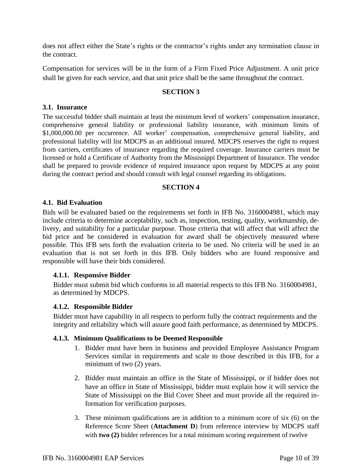does not affect either the State's rights or the contractor's rights under any termination clause in the contract.

Compensation for services will be in the form of a Firm Fixed Price Adjustment. A unit price shall be given for each service, and that unit price shall be the same throughout the contract.

#### **SECTION 3**

#### **3.1. Insurance**

The successful bidder shall maintain at least the minimum level of workers' compensation insurance, comprehensive general liability or professional liability insurance, with minimum limits of \$1,000,000.00 per occurrence. All worker' compensation, comprehensive general liability, and professional liability will list MDCPS as an additional insured. MDCPS reserves the right to request from carriers, certificates of insurance regarding the required coverage. Insurance carriers must be licensed or hold a Certificate of Authority from the Mississippi Department of Insurance. The vendor shall be prepared to provide evidence of required insurance upon request by MDCPS at any point during the contract period and should consult with legal counsel regarding its obligations.

#### **SECTION 4**

#### **4.1. Bid Evaluation**

Bids will be evaluated based on the requirements set forth in IFB No. 3160004981, which may include criteria to determine acceptability, such as, inspection, testing, quality, workmanship, delivery, and suitability for a particular purpose. Those criteria that will affect that will affect the bid price and be considered in evaluation for award shall be objectively measured where possible. This IFB sets forth the evaluation criteria to be used. No criteria will be used in an evaluation that is not set forth in this IFB. Only bidders who are found responsive and responsible will have their bids considered.

#### **4.1.1. Responsive Bidder**

Bidder must submit bid which conforms in all material respects to this IFB No. 3160004981, as determined by MDCPS.

#### **4.1.2. Responsible Bidder**

Bidder must have capability in all respects to perform fully the contract requirements and the integrity and reliability which will assure good faith performance, as determined by MDCPS.

#### **4.1.3. Minimum Qualifications to be Deemed Responsible**

- 1. Bidder must have been in business and provided Employee Assistance Program Services similar in requirements and scale to those described in this IFB, for a minimum of two (2) years.
- 2. Bidder must maintain an office in the State of Mississippi, or if bidder does not have an office in State of Mississippi, bidder must explain how it will service the State of Mississippi on the Bid Cover Sheet and must provide all the required information for verification purposes.
- 3. These minimum qualifications are in addition to a minimum score of six (6) on the Reference Score Sheet (**Attachment D**) from reference interview by MDCPS staff with **two** (2) bidder references for a total minimum scoring requirement of twelve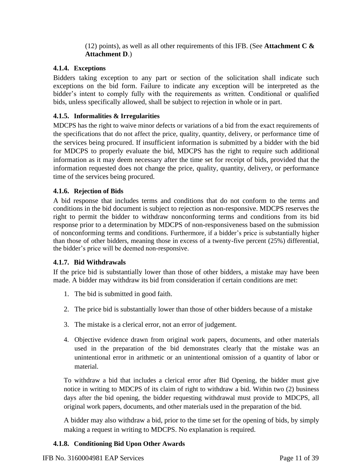(12) points), as well as all other requirements of this IFB. (See **Attachment C & Attachment D**.)

#### **4.1.4. Exceptions**

Bidders taking exception to any part or section of the solicitation shall indicate such exceptions on the bid form. Failure to indicate any exception will be interpreted as the bidder's intent to comply fully with the requirements as written. Conditional or qualified bids, unless specifically allowed, shall be subject to rejection in whole or in part.

#### **4.1.5. Informalities & Irregularities**

MDCPS has the right to waive minor defects or variations of a bid from the exact requirements of the specifications that do not affect the price, quality, quantity, delivery, or performance time of the services being procured. If insufficient information is submitted by a bidder with the bid for MDCPS to properly evaluate the bid, MDCPS has the right to require such additional information as it may deem necessary after the time set for receipt of bids, provided that the information requested does not change the price, quality, quantity, delivery, or performance time of the services being procured.

#### **4.1.6. Rejection of Bids**

A bid response that includes terms and conditions that do not conform to the terms and conditions in the bid document is subject to rejection as non-responsive. MDCPS reserves the right to permit the bidder to withdraw nonconforming terms and conditions from its bid response prior to a determination by MDCPS of non-responsiveness based on the submission of nonconforming terms and conditions. Furthermore, if a bidder's price is substantially higher than those of other bidders, meaning those in excess of a twenty-five percent (25%) differential, the bidder's price will be deemed non-responsive.

#### **4.1.7. Bid Withdrawals**

If the price bid is substantially lower than those of other bidders, a mistake may have been made. A bidder may withdraw its bid from consideration if certain conditions are met:

- 1. The bid is submitted in good faith.
- 2. The price bid is substantially lower than those of other bidders because of a mistake
- 3. The mistake is a clerical error, not an error of judgement.
- 4. Objective evidence drawn from original work papers, documents, and other materials used in the preparation of the bid demonstrates clearly that the mistake was an unintentional error in arithmetic or an unintentional omission of a quantity of labor or material.

To withdraw a bid that includes a clerical error after Bid Opening, the bidder must give notice in writing to MDCPS of its claim of right to withdraw a bid. Within two (2) business days after the bid opening, the bidder requesting withdrawal must provide to MDCPS, all original work papers, documents, and other materials used in the preparation of the bid.

A bidder may also withdraw a bid, prior to the time set for the opening of bids, by simply making a request in writing to MDCPS. No explanation is required.

#### **4.1.8. Conditioning Bid Upon Other Awards**

IFB No. 3160004981 EAP Services Page 11 of 39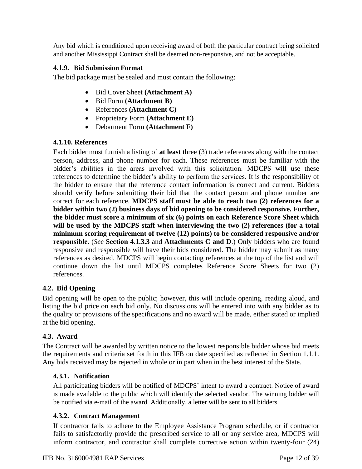Any bid which is conditioned upon receiving award of both the particular contract being solicited and another Mississippi Contract shall be deemed non-responsive, and not be acceptable.

#### **4.1.9. Bid Submission Format**

The bid package must be sealed and must contain the following:

- Bid Cover Sheet **(Attachment A)**
- Bid Form **(Attachment B)**
- References **(Attachment C)**
- Proprietary Form **(Attachment E)**
- Debarment Form **(Attachment F)**

#### **4.1.10. References**

Each bidder must furnish a listing of **at least** three (3) trade references along with the contact person, address, and phone number for each. These references must be familiar with the bidder's abilities in the areas involved with this solicitation. MDCPS will use these references to determine the bidder's ability to perform the services. It is the responsibility of the bidder to ensure that the reference contact information is correct and current. Bidders should verify before submitting their bid that the contact person and phone number are correct for each reference. **MDCPS staff must be able to reach two (2) references for a bidder within two (2) business days of bid opening to be considered responsive. Further, the bidder must score a minimum of six (6) points on each Reference Score Sheet which will be used by the MDCPS staff when interviewing the two (2) references (for a total minimum scoring requirement of twelve (12) points) to be considered responsive and/or responsible.** (*See* **Section 4.1.3.3** and **Attachments C and D**.) Only bidders who are found responsive and responsible will have their bids considered. The bidder may submit as many references as desired. MDCPS will begin contacting references at the top of the list and will continue down the list until MDCPS completes Reference Score Sheets for two (2) references.

#### **4.2. Bid Opening**

Bid opening will be open to the public; however, this will include opening, reading aloud, and listing the bid price on each bid only. No discussions will be entered into with any bidder as to the quality or provisions of the specifications and no award will be made, either stated or implied at the bid opening.

#### **4.3. Award**

The Contract will be awarded by written notice to the lowest responsible bidder whose bid meets the requirements and criteria set forth in this IFB on date specified as reflected in Section 1.1.1. Any bids received may be rejected in whole or in part when in the best interest of the State.

#### **4.3.1. Notification**

All participating bidders will be notified of MDCPS' intent to award a contract. Notice of award is made available to the public which will identify the selected vendor. The winning bidder will be notified via e-mail of the award. Additionally, a letter will be sent to all bidders.

#### **4.3.2. Contract Management**

If contractor fails to adhere to the Employee Assistance Program schedule, or if contractor fails to satisfactorily provide the prescribed service to all or any service area, MDCPS will inform contractor, and contractor shall complete corrective action within twenty-four (24)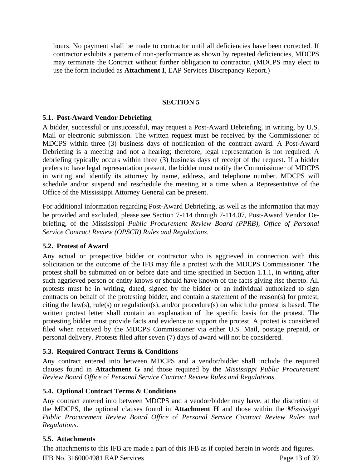hours. No payment shall be made to contractor until all deficiencies have been corrected. If contractor exhibits a pattern of non-performance as shown by repeated deficiencies, MDCPS may terminate the Contract without further obligation to contractor. (MDCPS may elect to use the form included as **Attachment I**, EAP Services Discrepancy Report.)

#### **SECTION 5**

#### **5.1. Post-Award Vendor Debriefing**

A bidder, successful or unsuccessful, may request a Post-Award Debriefing, in writing, by U.S. Mail or electronic submission. The written request must be received by the Commissioner of MDCPS within three (3) business days of notification of the contract award. A Post-Award Debriefing is a meeting and not a hearing; therefore, legal representation is not required. A debriefing typically occurs within three (3) business days of receipt of the request. If a bidder prefers to have legal representation present, the bidder must notify the Commissioner of MDCPS in writing and identify its attorney by name, address, and telephone number. MDCPS will schedule and/or suspend and reschedule the meeting at a time when a Representative of the Office of the Mississippi Attorney General can be present.

For additional information regarding Post-Award Debriefing, as well as the information that may be provided and excluded, please see Section 7-114 through 7-114.07, Post-Award Vendor Debriefing, of the Mississippi *Public Procurement Review Board (PPRB), Office of Personal Service Contract Review (OPSCR) Rules and Regulations*.

# **5.2. Protest of Award**

Any actual or prospective bidder or contractor who is aggrieved in connection with this solicitation or the outcome of the IFB may file a protest with the MDCPS Commissioner. The protest shall be submitted on or before date and time specified in Section 1.1.1, in writing after such aggrieved person or entity knows or should have known of the facts giving rise thereto. All protests must be in writing, dated, signed by the bidder or an individual authorized to sign contracts on behalf of the protesting bidder, and contain a statement of the reason(s) for protest, citing the law(s), rule(s) or regulation(s), and/or procedure(s) on which the protest is based. The written protest letter shall contain an explanation of the specific basis for the protest. The protesting bidder must provide facts and evidence to support the protest. A protest is considered filed when received by the MDCPS Commissioner via either U.S. Mail, postage prepaid, or personal delivery. Protests filed after seven (7) days of award will not be considered.

#### **5.3. Required Contract Terms & Conditions**

Any contract entered into between MDCPS and a vendor/bidder shall include the required clauses found in **Attachment G** and those required by the *Mississippi Public Procurement Review Board Office* of *Personal Service Contract Review Rules and Regulations*.

#### **5.4. Optional Contract Terms & Conditions**

Any contract entered into between MDCPS and a vendor/bidder may have, at the discretion of the MDCPS, the optional clauses found in **Attachment H** and those within the *Mississippi Public Procurement Review Board Office* of *Personal Service Contract Review Rules and Regulations*.

#### **5.5. Attachments**

IFB No. 3160004981 EAP Services Page 13 of 39 The attachments to this IFB are made a part of this IFB as if copied herein in words and figures.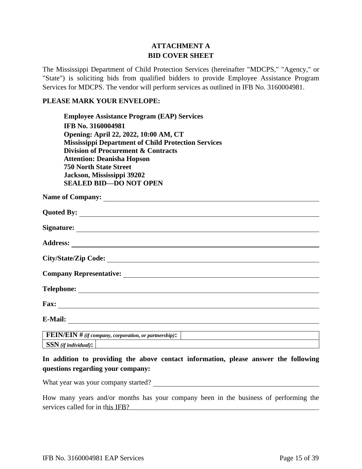### **ATTACHMENT A BID COVER SHEET**

The Mississippi Department of Child Protection Services (hereinafter "MDCPS," "Agency," or "State") is soliciting bids from qualified bidders to provide Employee Assistance Program Services for MDCPS. The vendor will perform services as outlined in IFB No. 3160004981.

#### **PLEASE MARK YOUR ENVELOPE:**

**Employee Assistance Program (EAP) Services IFB No. 3160004981 Opening: April 22, 2022, 10:00 AM, CT Mississippi Department of Child Protection Services Division of Procurement & Contracts Attention: Deanisha Hopson 750 North State Street Jackson, Mississippi 39202 SEALED BID—DO NOT OPEN**

| Name of Company:                                             |
|--------------------------------------------------------------|
|                                                              |
|                                                              |
|                                                              |
|                                                              |
| Company Representative:                                      |
|                                                              |
| Fax: $\qquad \qquad$                                         |
| E-Mail: $\qquad \qquad$                                      |
| <b>FEIN/EIN</b> # (if company, corporation, or partnership): |

**SSN** *(if individual)***:**

# **In addition to providing the above contact information, please answer the following questions regarding your company:**

What year was your company started?

How many years and/or months has your company been in the business of performing the services called for in this IFB?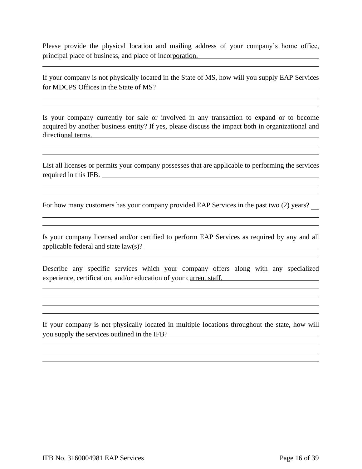Please provide the physical location and mailing address of your company's home office, principal place of business, and place of incorporation.

<u> 1989 - Johann Barn, amerikansk politiker (d. 1989)</u>

<u> 1989 - Andrea Station Barbara, actor a component de la componentación de la componentación de la componentaci</u>

If your company is not physically located in the State of MS, how will you supply EAP Services for MDCPS Offices in the State of MS?

Is your company currently for sale or involved in any transaction to expand or to become acquired by another business entity? If yes, please discuss the impact both in organizational and directional terms.

List all licenses or permits your company possesses that are applicable to performing the services required in this IFB.

For how many customers has your company provided EAP Services in the past two (2) years?

<u> 1989 - Andrea Santa Andrea Santa Andrea Santa Andrea Santa Andrea Santa Andrea Santa Andrea Santa Andrea San</u>

Is your company licensed and/or certified to perform EAP Services as required by any and all applicable federal and state law(s)?

Describe any specific services which your company offers along with any specialized experience, certification, and/or education of your current staff.

<u> 1989 - Johann Stoff, amerikansk politiker (\* 1908)</u>

and the control of the control of the control of the control of the control of the control of the control of the

If your company is not physically located in multiple locations throughout the state, how will you supply the services outlined in the IFB?

<u> 1989 - Johann Barbara, martxa alemaniar a</u>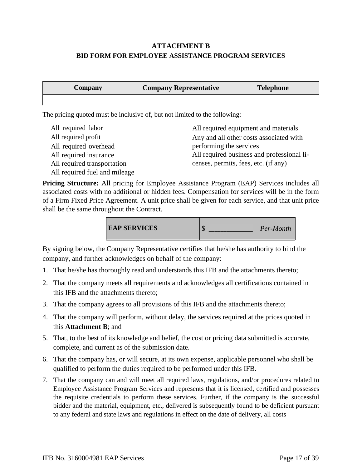# **ATTACHMENT B BID FORM FOR EMPLOYEE ASSISTANCE PROGRAM SERVICES**

| <b>Company</b> | <b>Company Representative</b> | <b>Telephone</b> |
|----------------|-------------------------------|------------------|
|                |                               |                  |

The pricing quoted must be inclusive of, but not limited to the following:

| All required labor            | All required equipment and materials       |
|-------------------------------|--------------------------------------------|
| All required profit           | Any and all other costs associated with    |
| All required overhead         | performing the services                    |
| All required insurance        | All required business and professional li- |
| All required transportation   | censes, permits, fees, etc. (if any)       |
| All required fuel and mileage |                                            |

**Pricing Structure:** All pricing for Employee Assistance Program (EAP) Services includes all associated costs with no additional or hidden fees. Compensation for services will be in the form of a Firm Fixed Price Agreement. A unit price shall be given for each service, and that unit price shall be the same throughout the Contract.



By signing below, the Company Representative certifies that he/she has authority to bind the company, and further acknowledges on behalf of the company:

- 1. That he/she has thoroughly read and understands this IFB and the attachments thereto;
- 2. That the company meets all requirements and acknowledges all certifications contained in this IFB and the attachments thereto;
- 3. That the company agrees to all provisions of this IFB and the attachments thereto;
- 4. That the company will perform, without delay, the services required at the prices quoted in this **Attachment B**; and
- 5. That, to the best of its knowledge and belief, the cost or pricing data submitted is accurate, complete, and current as of the submission date.
- 6. That the company has, or will secure, at its own expense, applicable personnel who shall be qualified to perform the duties required to be performed under this IFB.
- 7. That the company can and will meet all required laws, regulations, and/or procedures related to Employee Assistance Program Services and represents that it is licensed, certified and possesses the requisite credentials to perform these services. Further, if the company is the successful bidder and the material, equipment, etc., delivered is subsequently found to be deficient pursuant to any federal and state laws and regulations in effect on the date of delivery, all costs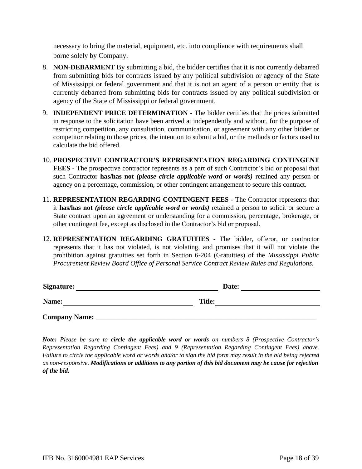necessary to bring the material, equipment, etc. into compliance with requirements shall borne solely by Company.

- 8. **NON-DEBARMENT** By submitting a bid, the bidder certifies that it is not currently debarred from submitting bids for contracts issued by any political subdivision or agency of the State of Mississippi or federal government and that it is not an agent of a person or entity that is currently debarred from submitting bids for contracts issued by any political subdivision or agency of the State of Mississippi or federal government.
- 9. **INDEPENDENT PRICE DETERMINATION -** The bidder certifies that the prices submitted in response to the solicitation have been arrived at independently and without, for the purpose of restricting competition, any consultation, communication, or agreement with any other bidder or competitor relating to those prices, the intention to submit a bid, or the methods or factors used to calculate the bid offered.
- 10. **PROSPECTIVE CONTRACTOR'S REPRESENTATION REGARDING CONTINGENT FEES -** The prospective contractor represents as a part of such Contractor's bid or proposal that such Contractor **has/has not** *(please circle applicable word or words)* retained any person or agency on a percentage, commission, or other contingent arrangement to secure this contract.
- 11. **REPRESENTATION REGARDING CONTINGENT FEES -** The Contractor represents that it **has/has not** *(please circle applicable word or words)* retained a person to solicit or secure a State contract upon an agreement or understanding for a commission, percentage, brokerage, or other contingent fee, except as disclosed in the Contractor's bid or proposal.
- 12. **REPRESENTATION REGARDING GRATUITIES -** The bidder, offeror, or contractor represents that it has not violated, is not violating, and promises that it will not violate the prohibition against gratuities set forth in Section 6-204 (Gratuities) of the *Mississippi Public Procurement Review Board Office of Personal Service Contract Review Rules and Regulations.*

| Signature:           | Date:         |  |
|----------------------|---------------|--|
| Name:                | <b>Title:</b> |  |
| <b>Company Name:</b> |               |  |

*Note: Please be sure to circle the applicable word or words on numbers 8 (Prospective Contractor's Representation Regarding Contingent Fees) and 9 (Representation Regarding Contingent Fees) above. Failure to circle the applicable word or words and/or to sign the bid form may result in the bid being rejected as non-responsive. Modifications or additions to any portion of this bid document may be cause for rejection of the bid.*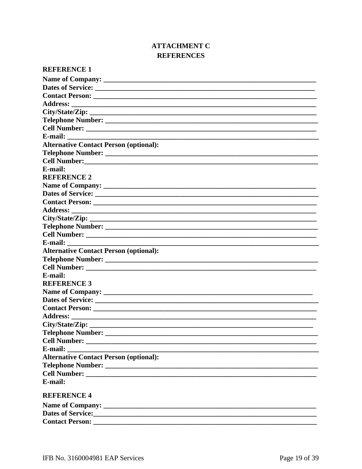# **ATTACHMENT C REFERENCES**

| <b>REFERENCE 1</b>                                                                                                               |
|----------------------------------------------------------------------------------------------------------------------------------|
|                                                                                                                                  |
|                                                                                                                                  |
|                                                                                                                                  |
|                                                                                                                                  |
|                                                                                                                                  |
|                                                                                                                                  |
|                                                                                                                                  |
|                                                                                                                                  |
| <b>Alternative Contact Person (optional):</b>                                                                                    |
|                                                                                                                                  |
|                                                                                                                                  |
| E-mail:                                                                                                                          |
| <b>REFERENCE 2</b>                                                                                                               |
|                                                                                                                                  |
|                                                                                                                                  |
|                                                                                                                                  |
| <b>Address:</b>                                                                                                                  |
|                                                                                                                                  |
|                                                                                                                                  |
|                                                                                                                                  |
|                                                                                                                                  |
| <b>Alternative Contact Person (optional):</b>                                                                                    |
|                                                                                                                                  |
|                                                                                                                                  |
| E-mail:                                                                                                                          |
| <b>REFERENCE 3</b>                                                                                                               |
|                                                                                                                                  |
|                                                                                                                                  |
|                                                                                                                                  |
| <b>Address:</b>                                                                                                                  |
|                                                                                                                                  |
|                                                                                                                                  |
|                                                                                                                                  |
| E-mail:<br><u> 1989 - Johann John Stein, synsk politik foar de oarnal fan it ferstjer fan de oarnal fan it ferstjer fan de o</u> |
| <b>Alternative Contact Person (optional):</b>                                                                                    |
|                                                                                                                                  |
|                                                                                                                                  |
| E-mail:                                                                                                                          |
| <b>REFERENCE 4</b>                                                                                                               |
|                                                                                                                                  |
|                                                                                                                                  |
| Dates of Service: <u>Contract of Service</u> Contract of Service Contract of Service:                                            |
|                                                                                                                                  |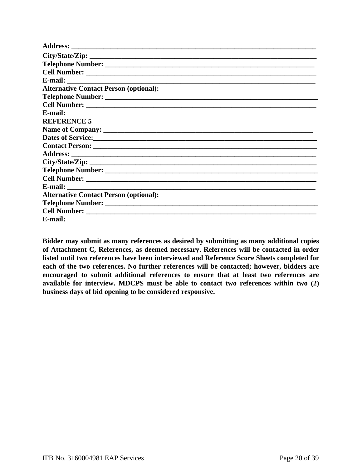| City/State/Zip:                                         |
|---------------------------------------------------------|
|                                                         |
|                                                         |
|                                                         |
| <b>Alternative Contact Person (optional):</b>           |
|                                                         |
|                                                         |
| E-mail:                                                 |
| <b>REFERENCE 5</b>                                      |
|                                                         |
| Dates of Service: New York Changes and Service Services |
|                                                         |
|                                                         |
|                                                         |
|                                                         |
|                                                         |
|                                                         |
| <b>Alternative Contact Person (optional):</b>           |
|                                                         |
|                                                         |
| E-mail:                                                 |

**Bidder may submit as many references as desired by submitting as many additional copies of Attachment C, References, as deemed necessary. References will be contacted in order listed until two references have been interviewed and Reference Score Sheets completed for each of the two references. No further references will be contacted; however, bidders are encouraged to submit additional references to ensure that at least two references are available for interview. MDCPS must be able to contact two references within two (2) business days of bid opening to be considered responsive.**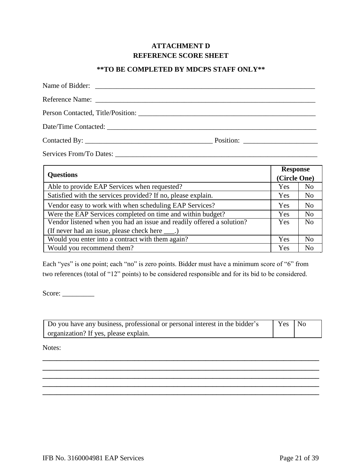# **ATTACHMENT D REFERENCE SCORE SHEET**

#### **\*\*TO BE COMPLETED BY MDCPS STAFF ONLY\*\***

| <b>Questions</b>                                                      |     | <b>Response</b><br>(Circle One) |  |
|-----------------------------------------------------------------------|-----|---------------------------------|--|
|                                                                       |     |                                 |  |
| Satisfied with the services provided? If no, please explain.          | Yes | N <sub>o</sub>                  |  |
| Vendor easy to work with when scheduling EAP Services?                | Yes | N <sub>0</sub>                  |  |
| Were the EAP Services completed on time and within budget?            | Yes | N <sub>0</sub>                  |  |
| Vendor listened when you had an issue and readily offered a solution? | Yes | N <sub>0</sub>                  |  |
| (If never had an issue, please check here ____.)                      |     |                                 |  |
| Would you enter into a contract with them again?                      | Yes | N <sub>0</sub>                  |  |
| Would you recommend them?                                             | Yes | N <sub>0</sub>                  |  |

Each "yes" is one point; each "no" is zero points. Bidder must have a minimum score of "6" from two references (total of "12" points) to be considered responsible and for its bid to be considered.

Score:

| Do you have any business, professional or personal interest in the bidder's | Yes No |  |
|-----------------------------------------------------------------------------|--------|--|
| organization? If yes, please explain.                                       |        |  |

**\_\_\_\_\_\_\_\_\_\_\_\_\_\_\_\_\_\_\_\_\_\_\_\_\_\_\_\_\_\_\_\_\_\_\_\_\_\_\_\_\_\_\_\_\_\_\_\_\_\_\_\_\_\_\_\_\_\_\_\_\_\_\_\_\_\_\_\_\_\_\_\_\_\_\_\_\_\_ \_\_\_\_\_\_\_\_\_\_\_\_\_\_\_\_\_\_\_\_\_\_\_\_\_\_\_\_\_\_\_\_\_\_\_\_\_\_\_\_\_\_\_\_\_\_\_\_\_\_\_\_\_\_\_\_\_\_\_\_\_\_\_\_\_\_\_\_\_\_\_\_\_\_\_\_\_\_ \_\_\_\_\_\_\_\_\_\_\_\_\_\_\_\_\_\_\_\_\_\_\_\_\_\_\_\_\_\_\_\_\_\_\_\_\_\_\_\_\_\_\_\_\_\_\_\_\_\_\_\_\_\_\_\_\_\_\_\_\_\_\_\_\_\_\_\_\_\_\_\_\_\_\_\_\_\_**

**\_\_\_\_\_\_\_\_\_\_\_\_\_\_\_\_\_\_\_\_\_\_\_\_\_\_\_\_\_\_\_\_\_\_\_\_\_\_\_\_\_\_\_\_\_\_\_\_\_\_\_\_\_\_\_\_\_\_\_\_\_\_\_\_\_\_\_\_\_\_\_\_\_\_\_\_\_\_**

Notes: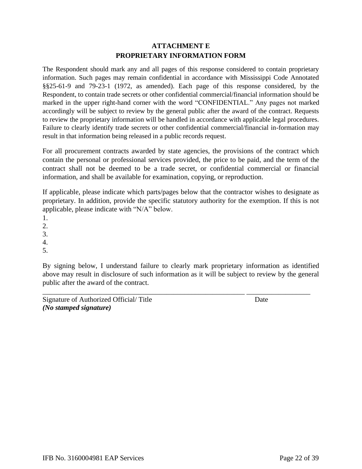# **ATTACHMENT E PROPRIETARY INFORMATION FORM**

The Respondent should mark any and all pages of this response considered to contain proprietary information. Such pages may remain confidential in accordance with Mississippi Code Annotated §§25-61-9 and 79-23-1 (1972, as amended). Each page of this response considered, by the Respondent, to contain trade secrets or other confidential commercial/financial information should be marked in the upper right-hand corner with the word "CONFIDENTIAL." Any pages not marked accordingly will be subject to review by the general public after the award of the contract. Requests to review the proprietary information will be handled in accordance with applicable legal procedures. Failure to clearly identify trade secrets or other confidential commercial/financial in-formation may result in that information being released in a public records request.

For all procurement contracts awarded by state agencies, the provisions of the contract which contain the personal or professional services provided, the price to be paid, and the term of the contract shall not be deemed to be a trade secret, or confidential commercial or financial information, and shall be available for examination, copying, or reproduction.

If applicable, please indicate which parts/pages below that the contractor wishes to designate as proprietary. In addition, provide the specific statutory authority for the exemption. If this is not applicable, please indicate with "N/A" below.

1.

2.

3.

4.

5.

By signing below, I understand failure to clearly mark proprietary information as identified above may result in disclosure of such information as it will be subject to review by the general public after the award of the contract.

\_\_\_\_\_\_\_\_\_\_\_\_\_\_\_\_\_\_\_\_\_\_\_\_\_\_\_\_\_\_\_\_\_\_\_\_\_\_\_\_\_\_\_\_\_\_\_\_\_\_\_\_\_\_\_\_\_ \_\_\_\_\_\_\_\_\_\_\_\_\_\_\_\_\_\_

Signature of Authorized Official/ Title Date *(No stamped signature)*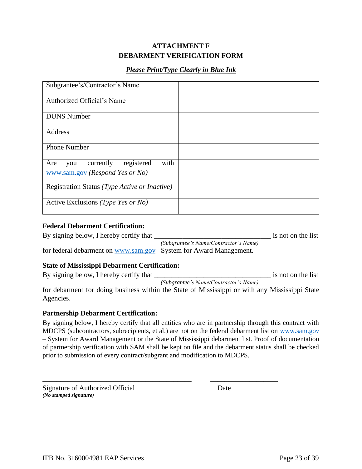# **ATTACHMENT F DEBARMENT VERIFICATION FORM**

## *Please Print/Type Clearly in Blue Ink*

| Subgrantee's/Contractor's Name                                                   |  |
|----------------------------------------------------------------------------------|--|
| Authorized Official's Name                                                       |  |
| <b>DUNS</b> Number                                                               |  |
| Address                                                                          |  |
| <b>Phone Number</b>                                                              |  |
| registered<br>with<br>currently<br>Are<br>you<br>www.sam.gov (Respond Yes or No) |  |
| Registration Status (Type Active or Inactive)                                    |  |
| Active Exclusions ( <i>Type Yes or No</i> )                                      |  |

#### **Federal Debarment Certification:**

By signing below, I hereby certify that the set of the list is not on the list *(Subgrantee's Name/Contractor's Name)* for federal debarment on www.sam.gov -System for Award Management.

#### **State of Mississippi Debarment Certification:**

By signing below, I hereby certify that the set of the list is not on the list *(Subgrantee's Name/Contractor's Name)*

for debarment for doing business within the State of Mississippi or with any Mississippi State Agencies.

#### **Partnership Debarment Certification:**

By signing below, I hereby certify that all entities who are in partnership through this contract with MDCPS (subcontractors, subrecipients, et al.) are not on the federal debarment list on www.sam.gov – System for Award Management or the State of Mississippi debarment list. Proof of documentation of partnership verification with SAM shall be kept on file and the debarment status shall be checked prior to submission of every contract/subgrant and modification to MDCPS.

\_\_\_\_\_\_\_\_\_\_\_\_\_\_\_\_\_\_\_\_\_\_\_\_\_\_\_\_\_\_\_\_\_\_\_\_\_\_\_\_\_\_ \_\_\_\_\_\_\_\_\_\_\_\_\_\_\_\_\_\_\_

Signature of Authorized Official Date *(No stamped signature)*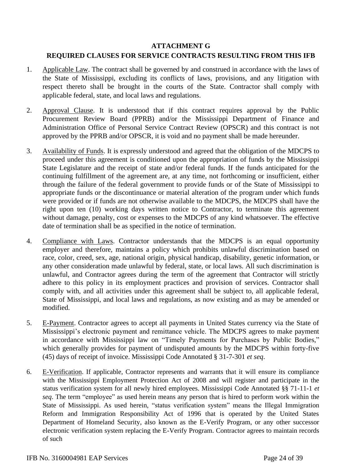#### **ATTACHMENT G**

#### **REQUIRED CLAUSES FOR SERVICE CONTRACTS RESULTING FROM THIS IFB**

- 1. Applicable Law. The contract shall be governed by and construed in accordance with the laws of the State of Mississippi, excluding its conflicts of laws, provisions, and any litigation with respect thereto shall be brought in the courts of the State. Contractor shall comply with applicable federal, state, and local laws and regulations.
- 2. Approval Clause. It is understood that if this contract requires approval by the Public Procurement Review Board (PPRB) and/or the Mississippi Department of Finance and Administration Office of Personal Service Contract Review (OPSCR) and this contract is not approved by the PPRB and/or OPSCR, it is void and no payment shall be made hereunder.
- 3. Availability of Funds. It is expressly understood and agreed that the obligation of the MDCPS to proceed under this agreement is conditioned upon the appropriation of funds by the Mississippi State Legislature and the receipt of state and/or federal funds. If the funds anticipated for the continuing fulfillment of the agreement are, at any time, not forthcoming or insufficient, either through the failure of the federal government to provide funds or of the State of Mississippi to appropriate funds or the discontinuance or material alteration of the program under which funds were provided or if funds are not otherwise available to the MDCPS, the MDCPS shall have the right upon ten (10) working days written notice to Contractor, to terminate this agreement without damage, penalty, cost or expenses to the MDCPS of any kind whatsoever. The effective date of termination shall be as specified in the notice of termination.
- 4. Compliance with Laws. Contractor understands that the MDCPS is an equal opportunity employer and therefore, maintains a policy which prohibits unlawful discrimination based on race, color, creed, sex, age, national origin, physical handicap, disability, genetic information, or any other consideration made unlawful by federal, state, or local laws. All such discrimination is unlawful, and Contractor agrees during the term of the agreement that Contractor will strictly adhere to this policy in its employment practices and provision of services. Contractor shall comply with, and all activities under this agreement shall be subject to, all applicable federal, State of Mississippi, and local laws and regulations, as now existing and as may be amended or modified.
- 5. E-Payment. Contractor agrees to accept all payments in United States currency via the State of Mississippi's electronic payment and remittance vehicle. The MDCPS agrees to make payment in accordance with Mississippi law on "Timely Payments for Purchases by Public Bodies," which generally provides for payment of undisputed amounts by the MDCPS within forty-five (45) days of receipt of invoice. Mississippi Code Annotated § 31-7-301 *et seq*.
- 6. E-Verification. If applicable, Contractor represents and warrants that it will ensure its compliance with the Mississippi Employment Protection Act of 2008 and will register and participate in the status verification system for all newly hired employees. Mississippi Code Annotated §§ 71-11-1 *et seq*. The term "employee" as used herein means any person that is hired to perform work within the State of Mississippi. As used herein, "status verification system" means the Illegal Immigration Reform and Immigration Responsibility Act of 1996 that is operated by the United States Department of Homeland Security, also known as the E-Verify Program, or any other successor electronic verification system replacing the E-Verify Program. Contractor agrees to maintain records of such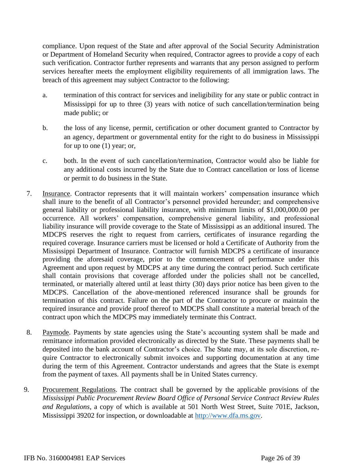compliance. Upon request of the State and after approval of the Social Security Administration or Department of Homeland Security when required, Contractor agrees to provide a copy of each such verification. Contractor further represents and warrants that any person assigned to perform services hereafter meets the employment eligibility requirements of all immigration laws. The breach of this agreement may subject Contractor to the following:

- a. termination of this contract for services and ineligibility for any state or public contract in Mississippi for up to three (3) years with notice of such cancellation/termination being made public; or
- b. the loss of any license, permit, certification or other document granted to Contractor by an agency, department or governmental entity for the right to do business in Mississippi for up to one (1) year; or,
- c. both. In the event of such cancellation/termination, Contractor would also be liable for any additional costs incurred by the State due to Contract cancellation or loss of license or permit to do business in the State.
- 7. Insurance. Contractor represents that it will maintain workers' compensation insurance which shall inure to the benefit of all Contractor's personnel provided hereunder; and comprehensive general liability or professional liability insurance, with minimum limits of \$1,000,000.00 per occurrence. All workers' compensation, comprehensive general liability, and professional liability insurance will provide coverage to the State of Mississippi as an additional insured. The MDCPS reserves the right to request from carriers, certificates of insurance regarding the required coverage. Insurance carriers must be licensed or hold a Certificate of Authority from the Mississippi Department of Insurance. Contractor will furnish MDCPS a certificate of insurance providing the aforesaid coverage, prior to the commencement of performance under this Agreement and upon request by MDCPS at any time during the contract period. Such certificate shall contain provisions that coverage afforded under the policies shall not be cancelled, terminated, or materially altered until at least thirty (30) days prior notice has been given to the MDCPS. Cancellation of the above-mentioned referenced insurance shall be grounds for termination of this contract. Failure on the part of the Contractor to procure or maintain the required insurance and provide proof thereof to MDCPS shall constitute a material breach of the contract upon which the MDCPS may immediately terminate this Contract.
- 8. Paymode. Payments by state agencies using the State's accounting system shall be made and remittance information provided electronically as directed by the State. These payments shall be deposited into the bank account of Contractor's choice. The State may, at its sole discretion, require Contractor to electronically submit invoices and supporting documentation at any time during the term of this Agreement. Contractor understands and agrees that the State is exempt from the payment of taxes. All payments shall be in United States currency.
- 9. Procurement Regulations. The contract shall be governed by the applicable provisions of the *Mississippi Public Procurement Review Board Office of Personal Service Contract Review Rules and Regulations*, a copy of which is available at 501 North West Street, Suite 701E, Jackson, Mississippi 39202 for inspection, or downloadable at http://www.dfa.ms.gov.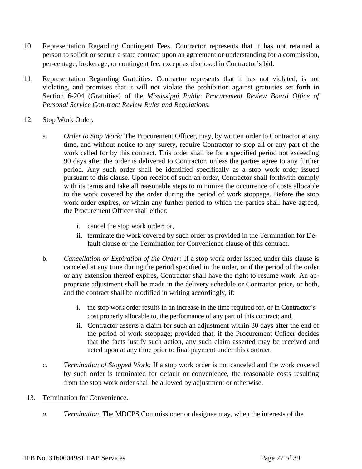- 10. Representation Regarding Contingent Fees. Contractor represents that it has not retained a person to solicit or secure a state contract upon an agreement or understanding for a commission, per-centage, brokerage, or contingent fee, except as disclosed in Contractor's bid.
- 11. Representation Regarding Gratuities. Contractor represents that it has not violated, is not violating, and promises that it will not violate the prohibition against gratuities set forth in Section 6-204 (Gratuities) of the *Mississippi Public Procurement Review Board Office of Personal Service Con-tract Review Rules and Regulations*.

#### 12. Stop Work Order.

- a. *Order to Stop Work:* The Procurement Officer, may, by written order to Contractor at any time, and without notice to any surety, require Contractor to stop all or any part of the work called for by this contract. This order shall be for a specified period not exceeding 90 days after the order is delivered to Contractor, unless the parties agree to any further period. Any such order shall be identified specifically as a stop work order issued pursuant to this clause. Upon receipt of such an order, Contractor shall forthwith comply with its terms and take all reasonable steps to minimize the occurrence of costs allocable to the work covered by the order during the period of work stoppage. Before the stop work order expires, or within any further period to which the parties shall have agreed, the Procurement Officer shall either:
	- i. cancel the stop work order; or,
	- ii. terminate the work covered by such order as provided in the Termination for Default clause or the Termination for Convenience clause of this contract.
- b. *Cancellation or Expiration of the Order:* If a stop work order issued under this clause is canceled at any time during the period specified in the order, or if the period of the order or any extension thereof expires, Contractor shall have the right to resume work. An appropriate adjustment shall be made in the delivery schedule or Contractor price, or both, and the contract shall be modified in writing accordingly, if:
	- i. the stop work order results in an increase in the time required for, or in Contractor's cost properly allocable to, the performance of any part of this contract; and,
	- ii. Contractor asserts a claim for such an adjustment within 30 days after the end of the period of work stoppage; provided that, if the Procurement Officer decides that the facts justify such action, any such claim asserted may be received and acted upon at any time prior to final payment under this contract.
- c. *Termination of Stopped Work:* If a stop work order is not canceled and the work covered by such order is terminated for default or convenience, the reasonable costs resulting from the stop work order shall be allowed by adjustment or otherwise.

#### 13. Termination for Convenience.

*a. Termination*. The MDCPS Commissioner or designee may, when the interests of the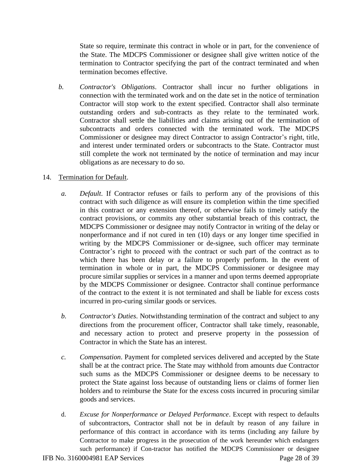State so require, terminate this contract in whole or in part, for the convenience of the State. The MDCPS Commissioner or designee shall give written notice of the termination to Contractor specifying the part of the contract terminated and when termination becomes effective.

*b. Contractor's Obligations*. Contractor shall incur no further obligations in connection with the terminated work and on the date set in the notice of termination Contractor will stop work to the extent specified. Contractor shall also terminate outstanding orders and sub-contracts as they relate to the terminated work. Contractor shall settle the liabilities and claims arising out of the termination of subcontracts and orders connected with the terminated work. The MDCPS Commissioner or designee may direct Contractor to assign Contractor's right, title, and interest under terminated orders or subcontracts to the State. Contractor must still complete the work not terminated by the notice of termination and may incur obligations as are necessary to do so.

#### 14. Termination for Default.

- *a. Default*. If Contractor refuses or fails to perform any of the provisions of this contract with such diligence as will ensure its completion within the time specified in this contract or any extension thereof, or otherwise fails to timely satisfy the contract provisions, or commits any other substantial breach of this contract, the MDCPS Commissioner or designee may notify Contractor in writing of the delay or nonperformance and if not cured in ten (10) days or any longer time specified in writing by the MDCPS Commissioner or de-signee, such officer may terminate Contractor's right to proceed with the contract or such part of the contract as to which there has been delay or a failure to properly perform. In the event of termination in whole or in part, the MDCPS Commissioner or designee may procure similar supplies or services in a manner and upon terms deemed appropriate by the MDCPS Commissioner or designee. Contractor shall continue performance of the contract to the extent it is not terminated and shall be liable for excess costs incurred in pro-curing similar goods or services.
- *b. Contractor's Duties*. Notwithstanding termination of the contract and subject to any directions from the procurement officer, Contractor shall take timely, reasonable, and necessary action to protect and preserve property in the possession of Contractor in which the State has an interest.
- *c. Compensation*. Payment for completed services delivered and accepted by the State shall be at the contract price. The State may withhold from amounts due Contractor such sums as the MDCPS Commissioner or designee deems to be necessary to protect the State against loss because of outstanding liens or claims of former lien holders and to reimburse the State for the excess costs incurred in procuring similar goods and services.
- d. *Excuse for Nonperformance or Delayed Performance*. Except with respect to defaults of subcontractors, Contractor shall not be in default by reason of any failure in performance of this contract in accordance with its terms (including any failure by Contractor to make progress in the prosecution of the work hereunder which endangers such performance) if Con-tractor has notified the MDCPS Commissioner or designee

IFB No. 3160004981 EAP Services Page 28 of 39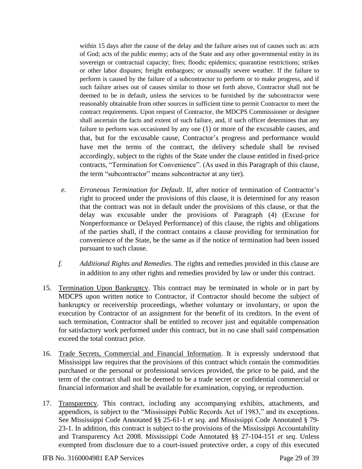within 15 days after the cause of the delay and the failure arises out of causes such as: acts of God; acts of the public enemy; acts of the State and any other governmental entity in its sovereign or contractual capacity; fires; floods; epidemics; quarantine restrictions; strikes or other labor disputes; freight embargoes; or unusually severe weather. If the failure to perform is caused by the failure of a subcontractor to perform or to make progress, and if such failure arises out of causes similar to those set forth above, Contractor shall not be deemed to be in default, unless the services to be furnished by the subcontractor were reasonably obtainable from other sources in sufficient time to permit Contractor to meet the contract requirements. Upon request of Contractor, the MDCPS Commissioner or designee shall ascertain the facts and extent of such failure, and, if such officer determines that any failure to perform was occasioned by any one (1) or more of the excusable causes, and that, but for the excusable cause, Contractor's progress and performance would have met the terms of the contract, the delivery schedule shall be revised accordingly, subject to the rights of the State under the clause entitled in fixed-price contracts, "Termination for Convenience". (As used in this Paragraph of this clause, the term "subcontractor" means subcontractor at any tier).

- *e. Erroneous Termination for Default*. If, after notice of termination of Contractor's right to proceed under the provisions of this clause, it is determined for any reason that the contract was not in default under the provisions of this clause, or that the delay was excusable under the provisions of Paragraph (4) (Excuse for Nonperformance or Delayed Performance) of this clause, the rights and obligations of the parties shall, if the contract contains a clause providing for termination for convenience of the State, be the same as if the notice of termination had been issued pursuant to such clause.
- *f. Additional Rights and Remedies*. The rights and remedies provided in this clause are in addition to any other rights and remedies provided by law or under this contract.
- 15. Termination Upon Bankruptcy. This contract may be terminated in whole or in part by MDCPS upon written notice to Contractor, if Contractor should become the subject of bankruptcy or receivership proceedings, whether voluntary or involuntary, or upon the execution by Contractor of an assignment for the benefit of its creditors. In the event of such termination, Contractor shall be entitled to recover just and equitable compensation for satisfactory work performed under this contract, but in no case shall said compensation exceed the total contract price.
- 16. Trade Secrets, Commercial and Financial Information. It is expressly understood that Mississippi law requires that the provisions of this contract which contain the commodities purchased or the personal or professional services provided, the price to be paid, and the term of the contract shall not be deemed to be a trade secret or confidential commercial or financial information and shall be available for examination, copying, or reproduction.
- 17. Transparency. This contract, including any accompanying exhibits, attachments, and appendices, is subject to the "Mississippi Public Records Act of 1983," and its exceptions. See Mississippi Code Annotated §§ 25-61-1 *et seq.* and Mississippi Code Annotated § 79- 23-1. In addition, this contract is subject to the provisions of the Mississippi Accountability and Transparency Act 2008. Mississippi Code Annotated §§ 27-104-151 *et seq*. Unless exempted from disclosure due to a court-issued protective order, a copy of this executed

IFB No. 3160004981 EAP Services Page 29 of 39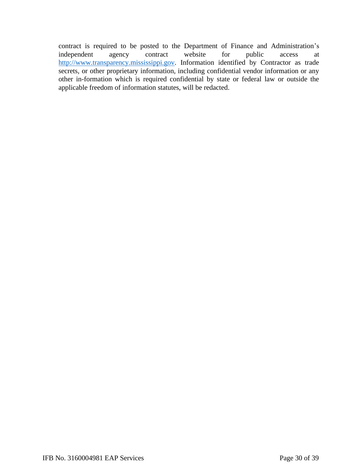contract is required to be posted to the Department of Finance and Administration's independent agency contract website for public access at http://www.transparency.mississippi.gov. Information identified by Contractor as trade secrets, or other proprietary information, including confidential vendor information or any other in-formation which is required confidential by state or federal law or outside the applicable freedom of information statutes, will be redacted.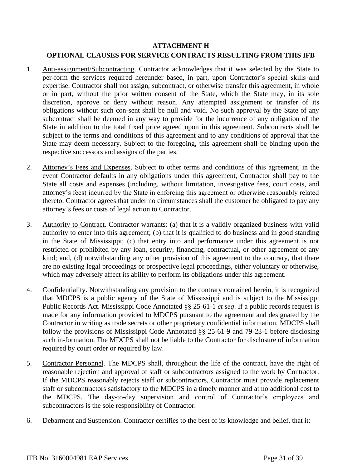# **ATTACHMENT H**

# **OPTIONAL CLAUSES FOR SERVICE CONTRACTS RESULTING FROM THIS IFB**

- 1. Anti-assignment/Subcontracting. Contractor acknowledges that it was selected by the State to per-form the services required hereunder based, in part, upon Contractor's special skills and expertise. Contractor shall not assign, subcontract, or otherwise transfer this agreement, in whole or in part, without the prior written consent of the State, which the State may, in its sole discretion, approve or deny without reason. Any attempted assignment or transfer of its obligations without such con-sent shall be null and void. No such approval by the State of any subcontract shall be deemed in any way to provide for the incurrence of any obligation of the State in addition to the total fixed price agreed upon in this agreement. Subcontracts shall be subject to the terms and conditions of this agreement and to any conditions of approval that the State may deem necessary. Subject to the foregoing, this agreement shall be binding upon the respective successors and assigns of the parties.
- 2. Attorney's Fees and Expenses. Subject to other terms and conditions of this agreement, in the event Contractor defaults in any obligations under this agreement, Contractor shall pay to the State all costs and expenses (including, without limitation, investigative fees, court costs, and attorney's fees) incurred by the State in enforcing this agreement or otherwise reasonably related thereto. Contractor agrees that under no circumstances shall the customer be obligated to pay any attorney's fees or costs of legal action to Contractor.
- 3. Authority to Contract. Contractor warrants: (a) that it is a validly organized business with valid authority to enter into this agreement; (b) that it is qualified to do business and in good standing in the State of Mississippi; (c) that entry into and performance under this agreement is not restricted or prohibited by any loan, security, financing, contractual, or other agreement of any kind; and, (d) notwithstanding any other provision of this agreement to the contrary, that there are no existing legal proceedings or prospective legal proceedings, either voluntary or otherwise, which may adversely affect its ability to perform its obligations under this agreement.
- 4. Confidentiality. Notwithstanding any provision to the contrary contained herein, it is recognized that MDCPS is a public agency of the State of Mississippi and is subject to the Mississippi Public Records Act. Mississippi Code Annotated §§ 25-61-1 *et seq*. If a public records request is made for any information provided to MDCPS pursuant to the agreement and designated by the Contractor in writing as trade secrets or other proprietary confidential information, MDCPS shall follow the provisions of Mississippi Code Annotated §§ 25-61-9 and 79-23-1 before disclosing such in-formation. The MDCPS shall not be liable to the Contractor for disclosure of information required by court order or required by law.
- 5. Contractor Personnel. The MDCPS shall, throughout the life of the contract, have the right of reasonable rejection and approval of staff or subcontractors assigned to the work by Contractor. If the MDCPS reasonably rejects staff or subcontractors, Contractor must provide replacement staff or subcontractors satisfactory to the MDCPS in a timely manner and at no additional cost to the MDCPS*.* The day-to-day supervision and control of Contractor's employees and subcontractors is the sole responsibility of Contractor.
- 6. Debarment and Suspension. Contractor certifies to the best of its knowledge and belief, that it: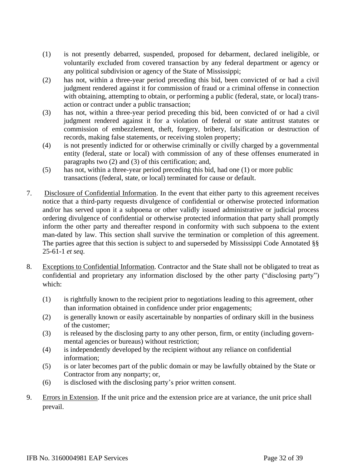- (1) is not presently debarred, suspended, proposed for debarment, declared ineligible, or voluntarily excluded from covered transaction by any federal department or agency or any political subdivision or agency of the State of Mississippi;
- (2) has not, within a three-year period preceding this bid, been convicted of or had a civil judgment rendered against it for commission of fraud or a criminal offense in connection with obtaining, attempting to obtain, or performing a public (federal, state, or local) transaction or contract under a public transaction;
- (3) has not, within a three-year period preceding this bid, been convicted of or had a civil judgment rendered against it for a violation of federal or state antitrust statutes or commission of embezzlement, theft, forgery, bribery, falsification or destruction of records, making false statements, or receiving stolen property;
- (4) is not presently indicted for or otherwise criminally or civilly charged by a governmental entity (federal, state or local) with commission of any of these offenses enumerated in paragraphs two (2) and (3) of this certification; and,
- (5) has not, within a three-year period preceding this bid, had one (1) or more public transactions (federal, state, or local) terminated for cause or default.
- 7. Disclosure of Confidential Information. In the event that either party to this agreement receives notice that a third-party requests divulgence of confidential or otherwise protected information and/or has served upon it a subpoena or other validly issued administrative or judicial process ordering divulgence of confidential or otherwise protected information that party shall promptly inform the other party and thereafter respond in conformity with such subpoena to the extent man-dated by law. This section shall survive the termination or completion of this agreement. The parties agree that this section is subject to and superseded by Mississippi Code Annotated §§ 25-61-1 *et seq*.
- 8. Exceptions to Confidential Information. Contractor and the State shall not be obligated to treat as confidential and proprietary any information disclosed by the other party ("disclosing party") which:
	- (1) is rightfully known to the recipient prior to negotiations leading to this agreement, other than information obtained in confidence under prior engagements;
	- (2) is generally known or easily ascertainable by nonparties of ordinary skill in the business of the customer;
	- (3) is released by the disclosing party to any other person, firm, or entity (including governmental agencies or bureaus) without restriction;
	- (4) is independently developed by the recipient without any reliance on confidential information;
	- (5) is or later becomes part of the public domain or may be lawfully obtained by the State or Contractor from any nonparty; or,
	- (6) is disclosed with the disclosing party's prior written consent.
- 9. Errors in Extension. If the unit price and the extension price are at variance, the unit price shall prevail.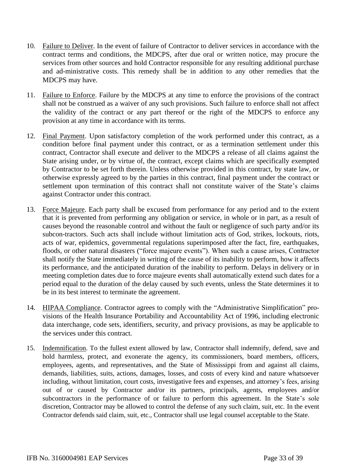- 10. Failure to Deliver. In the event of failure of Contractor to deliver services in accordance with the contract terms and conditions, the MDCPS, after due oral or written notice, may procure the services from other sources and hold Contractor responsible for any resulting additional purchase and ad-ministrative costs. This remedy shall be in addition to any other remedies that the MDCPS may have.
- 11. Failure to Enforce. Failure by the MDCPS at any time to enforce the provisions of the contract shall not be construed as a waiver of any such provisions. Such failure to enforce shall not affect the validity of the contract or any part thereof or the right of the MDCPS to enforce any provision at any time in accordance with its terms.
- 12. Final Payment. Upon satisfactory completion of the work performed under this contract, as a condition before final payment under this contract, or as a termination settlement under this contract, Contractor shall execute and deliver to the MDCPS a release of all claims against the State arising under, or by virtue of, the contract, except claims which are specifically exempted by Contractor to be set forth therein. Unless otherwise provided in this contract, by state law, or otherwise expressly agreed to by the parties in this contract, final payment under the contract or settlement upon termination of this contract shall not constitute waiver of the State's claims against Contractor under this contract.
- 13. Force Majeure. Each party shall be excused from performance for any period and to the extent that it is prevented from performing any obligation or service, in whole or in part, as a result of causes beyond the reasonable control and without the fault or negligence of such party and/or its subcon-tractors. Such acts shall include without limitation acts of God, strikes, lockouts, riots, acts of war, epidemics, governmental regulations superimposed after the fact, fire, earthquakes, floods, or other natural disasters ("force majeure events"). When such a cause arises, Contractor shall notify the State immediately in writing of the cause of its inability to perform, how it affects its performance, and the anticipated duration of the inability to perform. Delays in delivery or in meeting completion dates due to force majeure events shall automatically extend such dates for a period equal to the duration of the delay caused by such events, unless the State determines it to be in its best interest to terminate the agreement.
- 14. HIPAA Compliance. Contractor agrees to comply with the "Administrative Simplification" provisions of the Health Insurance Portability and Accountability Act of 1996, including electronic data interchange, code sets, identifiers, security, and privacy provisions, as may be applicable to the services under this contract.
- 15. Indemnification. To the fullest extent allowed by law, Contractor shall indemnify, defend, save and hold harmless, protect, and exonerate the agency, its commissioners, board members, officers, employees, agents, and representatives, and the State of Mississippi from and against all claims, demands, liabilities, suits, actions, damages, losses, and costs of every kind and nature whatsoever including, without limitation, court costs, investigative fees and expenses, and attorney's fees, arising out of or caused by Contractor and/or its partners, principals, agents, employees and/or subcontractors in the performance of or failure to perform this agreement. In the State's sole discretion, Contractor may be allowed to control the defense of any such claim, suit, etc. In the event Contractor defends said claim, suit, etc., Contractor shall use legal counsel acceptable to the State.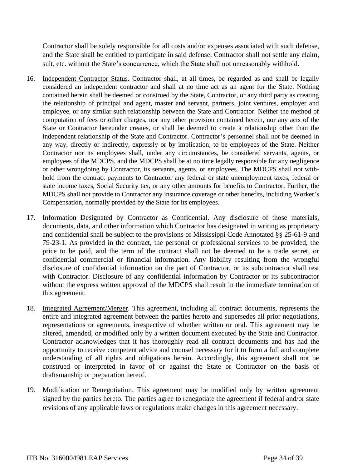Contractor shall be solely responsible for all costs and/or expenses associated with such defense, and the State shall be entitled to participate in said defense. Contractor shall not settle any claim, suit, etc. without the State's concurrence, which the State shall not unreasonably withhold.

- 16. Independent Contractor Status. Contractor shall, at all times, be regarded as and shall be legally considered an independent contractor and shall at no time act as an agent for the State. Nothing contained herein shall be deemed or construed by the State, Contractor, or any third party as creating the relationship of principal and agent, master and servant, partners, joint ventures, employer and employee, or any similar such relationship between the State and Contractor. Neither the method of computation of fees or other charges, nor any other provision contained herein, nor any acts of the State or Contractor hereunder creates, or shall be deemed to create a relationship other than the independent relationship of the State and Contractor. Contractor's personnel shall not be deemed in any way, directly or indirectly, expressly or by implication, to be employees of the State. Neither Contractor nor its employees shall, under any circumstances, be considered servants, agents, or employees of the MDCPS, and the MDCPS shall be at no time legally responsible for any negligence or other wrongdoing by Contractor, its servants, agents, or employees. The MDCPS shall not withhold from the contract payments to Contractor any federal or state unemployment taxes, federal or state income taxes, Social Security tax, or any other amounts for benefits to Contractor. Further, the MDCPS shall not provide to Contractor any insurance coverage or other benefits, including Worker's Compensation, normally provided by the State for its employees.
- 17. Information Designated by Contractor as Confidential. Any disclosure of those materials, documents, data, and other information which Contractor has designated in writing as proprietary and confidential shall be subject to the provisions of Mississippi Code Annotated §§ 25-61-9 and 79-23-1. As provided in the contract, the personal or professional services to be provided, the price to be paid, and the term of the contract shall not be deemed to be a trade secret, or confidential commercial or financial information. Any liability resulting from the wrongful disclosure of confidential information on the part of Contractor, or its subcontractor shall rest with Contractor. Disclosure of any confidential information by Contractor or its subcontractor without the express written approval of the MDCPS shall result in the immediate termination of this agreement.
- 18. Integrated Agreement/Merger. This agreement, including all contract documents, represents the entire and integrated agreement between the parties hereto and supersedes all prior negotiations, representations or agreements, irrespective of whether written or oral. This agreement may be altered, amended, or modified only by a written document executed by the State and Contractor. Contractor acknowledges that it has thoroughly read all contract documents and has had the opportunity to receive competent advice and counsel necessary for it to form a full and complete understanding of all rights and obligations herein. Accordingly, this agreement shall not be construed or interpreted in favor of or against the State or Contractor on the basis of draftsmanship or preparation hereof.
- 19. Modification or Renegotiation. This agreement may be modified only by written agreement signed by the parties hereto. The parties agree to renegotiate the agreement if federal and/or state revisions of any applicable laws or regulations make changes in this agreement necessary.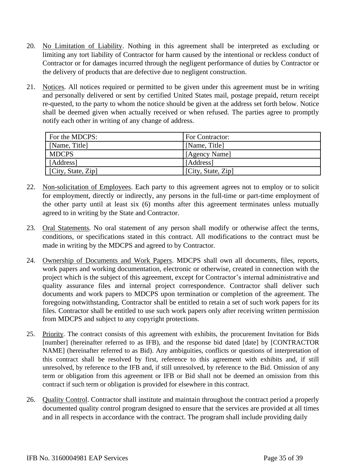- 20. No Limitation of Liability. Nothing in this agreement shall be interpreted as excluding or limiting any tort liability of Contractor for harm caused by the intentional or reckless conduct of Contractor or for damages incurred through the negligent performance of duties by Contractor or the delivery of products that are defective due to negligent construction.
- 21. Notices. All notices required or permitted to be given under this agreement must be in writing and personally delivered or sent by certified United States mail, postage prepaid, return receipt re-quested, to the party to whom the notice should be given at the address set forth below. Notice shall be deemed given when actually received or when refused. The parties agree to promptly notify each other in writing of any change of address.

| For the MDCPS:     | For Contractor:    |  |
|--------------------|--------------------|--|
| [Name, Title]      | [Name, Title]      |  |
| <b>MDCPS</b>       | [Agency Name]      |  |
| [Address]          | [Address]          |  |
| [City, State, Zip] | [City, State, Zip] |  |

- 22. Non-solicitation of Employees. Each party to this agreement agrees not to employ or to solicit for employment, directly or indirectly, any persons in the full-time or part-time employment of the other party until at least six (6) months after this agreement terminates unless mutually agreed to in writing by the State and Contractor.
- 23. Oral Statements. No oral statement of any person shall modify or otherwise affect the terms, conditions, or specifications stated in this contract. All modifications to the contract must be made in writing by the MDCPS and agreed to by Contractor*.*
- 24. Ownership of Documents and Work Papers. MDCPS shall own all documents, files, reports, work papers and working documentation, electronic or otherwise, created in connection with the project which is the subject of this agreement, except for Contractor's internal administrative and quality assurance files and internal project correspondence. Contractor shall deliver such documents and work papers to MDCPS upon termination or completion of the agreement. The foregoing notwithstanding, Contractor shall be entitled to retain a set of such work papers for its files. Contractor shall be entitled to use such work papers only after receiving written permission from MDCPS and subject to any copyright protections.
- 25. Priority. The contract consists of this agreement with exhibits, the procurement Invitation for Bids [number] (hereinafter referred to as IFB), and the response bid dated [date] by [CONTRACTOR NAME] (hereinafter referred to as Bid). Any ambiguities, conflicts or questions of interpretation of this contract shall be resolved by first, reference to this agreement with exhibits and, if still unresolved, by reference to the IFB and, if still unresolved, by reference to the Bid. Omission of any term or obligation from this agreement or IFB or Bid shall not be deemed an omission from this contract if such term or obligation is provided for elsewhere in this contract.
- 26. Quality Control. Contractor shall institute and maintain throughout the contract period a properly documented quality control program designed to ensure that the services are provided at all times and in all respects in accordance with the contract. The program shall include providing daily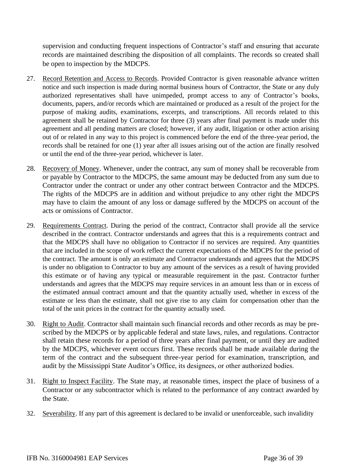supervision and conducting frequent inspections of Contractor's staff and ensuring that accurate records are maintained describing the disposition of all complaints. The records so created shall be open to inspection by the MDCPS.

- 27. Record Retention and Access to Records. Provided Contractor is given reasonable advance written notice and such inspection is made during normal business hours of Contractor, the State or any duly authorized representatives shall have unimpeded, prompt access to any of Contractor's books, documents, papers, and/or records which are maintained or produced as a result of the project for the purpose of making audits, examinations, excerpts, and transcriptions. All records related to this agreement shall be retained by Contractor for three (3) years after final payment is made under this agreement and all pending matters are closed; however, if any audit, litigation or other action arising out of or related in any way to this project is commenced before the end of the three-year period, the records shall be retained for one (1) year after all issues arising out of the action are finally resolved or until the end of the three-year period, whichever is later.
- 28. Recovery of Money. Whenever, under the contract, any sum of money shall be recoverable from or payable by Contractor to the MDCPS, the same amount may be deducted from any sum due to Contractor under the contract or under any other contract between Contractor and the MDCPS*.* The rights of the MDCPS are in addition and without prejudice to any other right the MDCPS may have to claim the amount of any loss or damage suffered by the MDCPS on account of the acts or omissions of Contractor.
- 29. Requirements Contract. During the period of the contract, Contractor shall provide all the service described in the contract. Contractor understands and agrees that this is a requirements contract and that the MDCPS shall have no obligation to Contractor if no services are required. Any quantities that are included in the scope of work reflect the current expectations of the MDCPS for the period of the contract. The amount is only an estimate and Contractor understands and agrees that the MDCPS is under no obligation to Contractor to buy any amount of the services as a result of having provided this estimate or of having any typical or measurable requirement in the past. Contractor further understands and agrees that the MDCPS may require services in an amount less than or in excess of the estimated annual contract amount and that the quantity actually used, whether in excess of the estimate or less than the estimate, shall not give rise to any claim for compensation other than the total of the unit prices in the contract for the quantity actually used.
- 30. Right to Audit. Contractor shall maintain such financial records and other records as may be prescribed by the MDCPS or by applicable federal and state laws, rules, and regulations. Contractor shall retain these records for a period of three years after final payment, or until they are audited by the MDCPS, whichever event occurs first. These records shall be made available during the term of the contract and the subsequent three-year period for examination, transcription, and audit by the Mississippi State Auditor's Office, its designees, or other authorized bodies.
- 31. Right to Inspect Facility. The State may, at reasonable times, inspect the place of business of a Contractor or any subcontractor which is related to the performance of any contract awarded by the State.
- 32. Severability. If any part of this agreement is declared to be invalid or unenforceable, such invalidity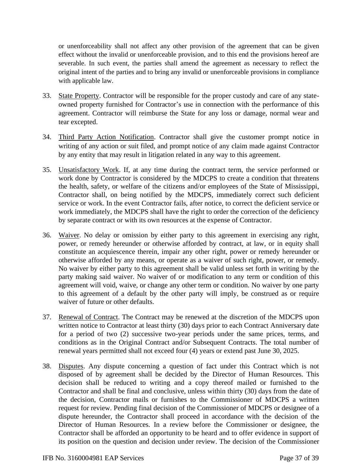or unenforceability shall not affect any other provision of the agreement that can be given effect without the invalid or unenforceable provision, and to this end the provisions hereof are severable. In such event, the parties shall amend the agreement as necessary to reflect the original intent of the parties and to bring any invalid or unenforceable provisions in compliance with applicable law.

- 33. State Property. Contractor will be responsible for the proper custody and care of any stateowned property furnished for Contractor's use in connection with the performance of this agreement. Contractor will reimburse the State for any loss or damage, normal wear and tear excepted.
- 34. Third Party Action Notification. Contractor shall give the customer prompt notice in writing of any action or suit filed, and prompt notice of any claim made against Contractor by any entity that may result in litigation related in any way to this agreement.
- 35. Unsatisfactory Work. If, at any time during the contract term, the service performed or work done by Contractor is considered by the MDCPS to create a condition that threatens the health, safety, or welfare of the citizens and/or employees of the State of Mississippi, Contractor shall, on being notified by the MDCPS, immediately correct such deficient service or work. In the event Contractor fails, after notice, to correct the deficient service or work immediately, the MDCPS shall have the right to order the correction of the deficiency by separate contract or with its own resources at the expense of Contractor.
- 36. Waiver. No delay or omission by either party to this agreement in exercising any right, power, or remedy hereunder or otherwise afforded by contract, at law, or in equity shall constitute an acquiescence therein, impair any other right, power or remedy hereunder or otherwise afforded by any means, or operate as a waiver of such right, power, or remedy. No waiver by either party to this agreement shall be valid unless set forth in writing by the party making said waiver. No waiver of or modification to any term or condition of this agreement will void, waive, or change any other term or condition. No waiver by one party to this agreement of a default by the other party will imply, be construed as or require waiver of future or other defaults.
- 37. Renewal of Contract. The Contract may be renewed at the discretion of the MDCPS upon written notice to Contractor at least thirty (30) days prior to each Contract Anniversary date for a period of two (2) successive two-year periods under the same prices, terms, and conditions as in the Original Contract and/or Subsequent Contracts. The total number of renewal years permitted shall not exceed four (4) years or extend past June 30, 2025.
- 38. Disputes. Any dispute concerning a question of fact under this Contract which is not disposed of by agreement shall be decided by the Director of Human Resources. This decision shall be reduced to writing and a copy thereof mailed or furnished to the Contractor and shall be final and conclusive, unless within thirty (30) days from the date of the decision, Contractor mails or furnishes to the Commissioner of MDCPS a written request for review. Pending final decision of the Commissioner of MDCPS or designee of a dispute hereunder, the Contractor shall proceed in accordance with the decision of the Director of Human Resources. In a review before the Commissioner or designee, the Contractor shall be afforded an opportunity to be heard and to offer evidence in support of its position on the question and decision under review. The decision of the Commissioner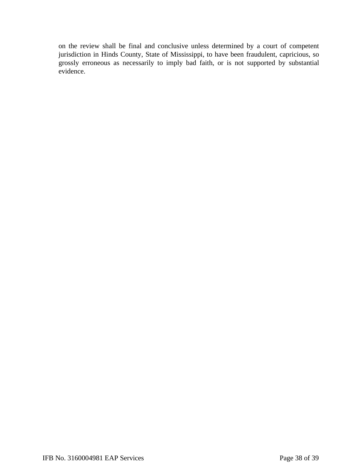on the review shall be final and conclusive unless determined by a court of competent jurisdiction in Hinds County, State of Mississippi, to have been fraudulent, capricious, so grossly erroneous as necessarily to imply bad faith, or is not supported by substantial evidence.